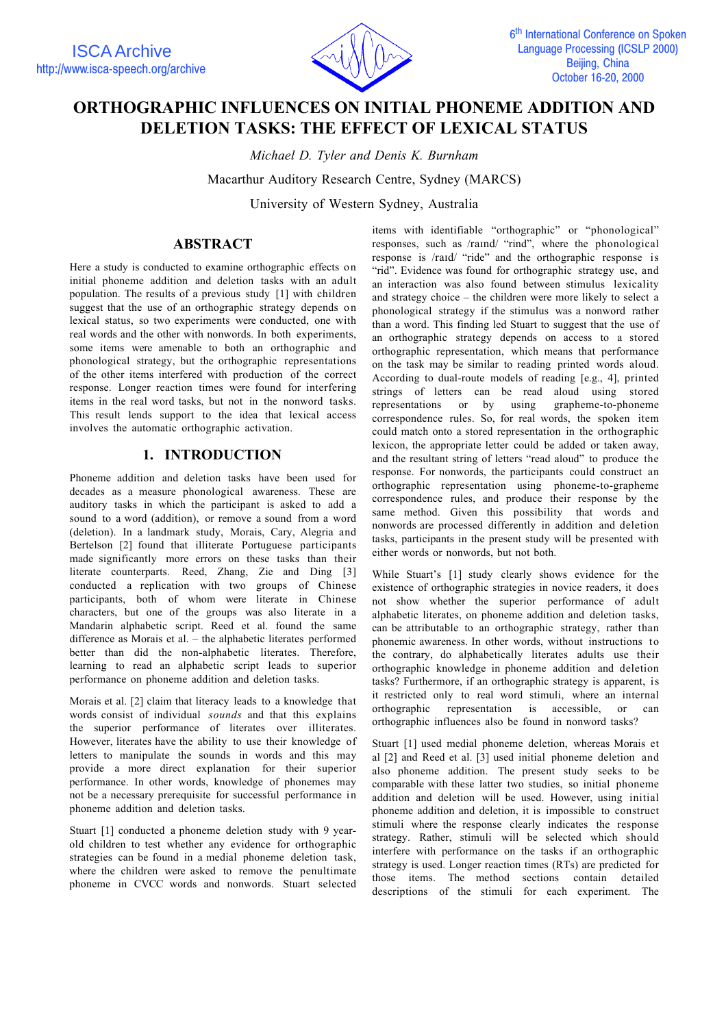

# **ORTHOGRAPHIC INFLUENCES ON INITIAL PHONEME ADDITION AND DELETION TASKS: THE EFFECT OF LEXICAL STATUS**

*Michael D. Tyler and Denis K. Burnham*

Macarthur Auditory Research Centre, Sydney (MARCS)

University of Western Sydney, Australia

# **ABSTRACT**

Here a study is conducted to examine orthographic effects on initial phoneme addition and deletion tasks with an adult population. The results of a previous study [1] with children suggest that the use of an orthographic strategy depends on lexical status, so two experiments were conducted, one with real words and the other with nonwords. In both experiments, some items were amenable to both an orthographic and phonological strategy, but the orthographic representations of the other items interfered with production of the correct response. Longer reaction times were found for interfering items in the real word tasks, but not in the nonword tasks. This result lends support to the idea that lexical access involves the automatic orthographic activation.

# **1. INTRODUCTION**

Phoneme addition and deletion tasks have been used for decades as a measure phonological awareness. These are auditory tasks in which the participant is asked to add a sound to a word (addition), or remove a sound from a word (deletion). In a landmark study, Morais, Cary, Alegria and Bertelson [2] found that illiterate Portuguese participants made significantly more errors on these tasks than their literate counterparts. Reed, Zhang, Zie and Ding [3] conducted a replication with two groups of Chinese participants, both of whom were literate in Chinese characters, but one of the groups was also literate in a Mandarin alphabetic script. Reed et al. found the same difference as Morais et al. – the alphabetic literates performed better than did the non-alphabetic literates. Therefore, learning to read an alphabetic script leads to superior performance on phoneme addition and deletion tasks.

Morais et al. [2] claim that literacy leads to a knowledge that words consist of individual *sounds* and that this explains the superior performance of literates over illiterates. However, literates have the ability to use their knowledge of letters to manipulate the sounds in words and this may provide a more direct explanation for their superior performance. In other words, knowledge of phonemes may not be a necessary prerequisite for successful performance in phoneme addition and deletion tasks.

Stuart [1] conducted a phoneme deletion study with 9 yearold children to test whether any evidence for orthographic strategies can be found in a medial phoneme deletion task, where the children were asked to remove the penultimate phoneme in CVCC words and nonwords. Stuart selected

items with identifiable "orthographic" or "phonological" responses, such as /raind/ "rind", where the phonological response is /raid/ "ride" and the orthographic response is "rid". Evidence was found for orthographic strategy use, and an interaction was also found between stimulus lexicality and strategy choice – the children were more likely to select a phonological strategy if the stimulus was a nonword rather than a word. This finding led Stuart to suggest that the use of an orthographic strategy depends on access to a stored orthographic representation, which means that performance on the task may be similar to reading printed words aloud. According to dual-route models of reading [e.g., 4], printed strings of letters can be read aloud using stored representations or by using grapheme-to-phoneme correspondence rules. So, for real words, the spoken item could match onto a stored representation in the orthographic lexicon, the appropriate letter could be added or taken away, and the resultant string of letters "read aloud" to produce the response. For nonwords, the participants could construct an orthographic representation using phoneme-to-grapheme correspondence rules, and produce their response by the same method. Given this possibility that words and nonwords are processed differently in addition and deletion tasks, participants in the present study will be presented with either words or nonwords, but not both.

While Stuart's [1] study clearly shows evidence for the existence of orthographic strategies in novice readers, it does not show whether the superior performance of adult alphabetic literates, on phoneme addition and deletion tasks, can be attributable to an orthographic strategy, rather than phonemic awareness. In other words, without instructions to the contrary, do alphabetically literates adults use their orthographic knowledge in phoneme addition and deletion tasks? Furthermore, if an orthographic strategy is apparent, is it restricted only to real word stimuli, where an internal orthographic representation is accessible, or can orthographic influences also be found in nonword tasks?

Stuart [1] used medial phoneme deletion, whereas Morais et al [2] and Reed et al. [3] used initial phoneme deletion and also phoneme addition. The present study seeks to be comparable with these latter two studies, so initial phoneme addition and deletion will be used. However, using initial phoneme addition and deletion, it is impossible to construct stimuli where the response clearly indicates the response strategy. Rather, stimuli will be selected which should interfere with performance on the tasks if an orthographic strategy is used. Longer reaction times (RTs) are predicted for those items. The method sections contain detailed descriptions of the stimuli for each experiment. The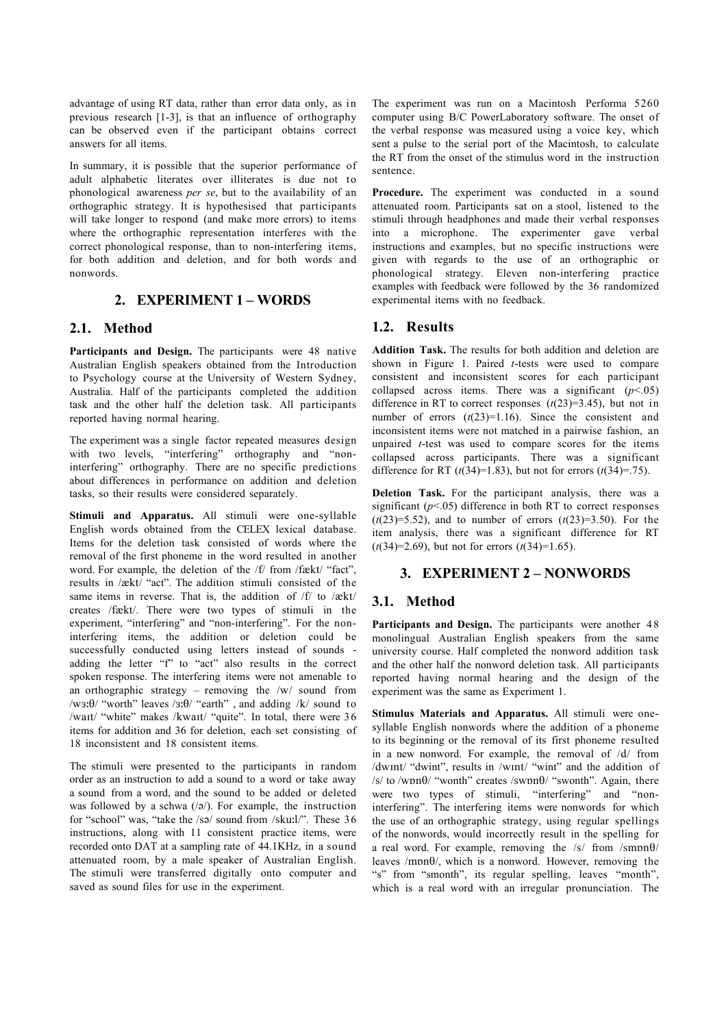advantage of using RT data, rather than error data only, as in previous research [1-3], is that an influence of orthography can be observed even if the participant obtains correct answers for all items.

In summary, it is possible that the superior performance of adult alphabetic literates over illiterates is due not to phonological awareness *per se*, but to the availability of an orthographic strategy. It is hypothesised that participants will take longer to respond (and make more errors) to items where the orthographic representation interferes with the correct phonological response, than to non-interfering items, for both addition and deletion, and for both words and nonwords.

# **2. EXPERIMENT 1 – WORDS**

## **2.1. Method**

Participants and Design. The participants were 48 native Australian English speakers obtained from the Introduction to Psychology course at the University of Western Sydney, Australia. Half of the participants completed the addition task and the other half the deletion task. All participants reported having normal hearing.

The experiment was a single factor repeated measures design with two levels, "interfering" orthography and "noninterfering" orthography. There are no specific predictions about differences in performance on addition and deletion tasks, so their results were considered separately.

**Stimuli and Apparatus.** All stimuli were one-syllable English words obtained from the CELEX lexical database. Items for the deletion task consisted of words where the removal of the first phoneme in the word resulted in another word. For example, the deletion of the  $/f$  from  $/f \in k[t]$  "fact". results in  $\sqrt{\text{c}k}$  "act". The addition stimuli consisted of the same items in reverse. That is, the addition of  $/f/$  to  $/ækt/$ creates /fækt/. There were two types of stimuli in the experiment, "interfering" and "non-interfering". For the noninterfering items, the addition or deletion could be successfully conducted using letters instead of sounds adding the letter "f" to "act" also results in the correct spoken response. The interfering items were not amenable to an orthographic strategy – removing the  $/w/$  sound from /ws: $\theta$ / "worth" leaves /s: $\theta$ / "earth", and adding /k/ sound to /wait/ "white" makes /kwait/ "quite". In total, there were 36 items for addition and 36 for deletion, each set consisting of 18 inconsistent and 18 consistent items.

The stimuli were presented to the participants in random order as an instruction to add a sound to a word or take away a sound from a word, and the sound to be added or deleted was followed by a schwa  $(2)$ . For example, the instruction for "school" was, "take the /sə/ sound from /skuːl/". These 36 instructions, along with 11 consistent practice items, were recorded onto DAT at a sampling rate of 44.1KHz, in a sound attenuated room, by a male speaker of Australian English. The stimuli were transferred digitally onto computer and saved as sound files for use in the experiment.

The experiment was run on a Macintosh Performa 5260 computer using B/C PowerLaboratory software. The onset of the verbal response was measured using a voice key, which sent a pulse to the serial port of the Macintosh, to calculate the RT from the onset of the stimulus word in the instruction sentence.

Procedure. The experiment was conducted in a sound attenuated room. Participants sat on a stool, listened to the stimuli through headphones and made their verbal responses into a microphone. The experimenter gave verbal instructions and examples, but no specific instructions were given with regards to the use of an orthographic or phonological strategy. Eleven non-interfering practice examples with feedback were followed by the 36 randomized experimental items with no feedback.

## **1.2. Results**

**Addition Task.** The results for both addition and deletion are shown in Figure 1. Paired *t*-tests were used to compare consistent and inconsistent scores for each participant collapsed across items. There was a significant  $(p<.05)$ difference in RT to correct responses  $(t(23)=3.45)$ , but not in number of errors  $(t(23)=1.16)$ . Since the consistent and inconsistent items were not matched in a pairwise fashion, an unpaired *t*-test was used to compare scores for the items collapsed across participants. There was a significant difference for RT  $(t(34)=1.83)$ , but not for errors  $(t(34)=.75)$ .

**Deletion Task.** For the participant analysis, there was a significant  $(p<0.05)$  difference in both RT to correct responses  $(t(23)=5.52)$ , and to number of errors  $(t(23)=3.50)$ . For the item analysis, there was a significant difference for RT  $(t(34)=2.69)$ , but not for errors  $(t(34)=1.65)$ .

## **3. EXPERIMENT 2 – NONWORDS**

### **3.1. Method**

Participants and Design. The participants were another 48 monolingual Australian English speakers from the same university course. Half completed the nonword addition task and the other half the nonword deletion task. All participants reported having normal hearing and the design of the experiment was the same as Experiment 1.

**Stimulus Materials and Apparatus.** All stimuli were onesyllable English nonwords where the addition of a phoneme to its beginning or the removal of its first phoneme resulted in a new nonword. For example, the removal of /d/ from /dwInt/ "dwint", results in /wInt/ "wint" and the addition of /s/ to /w $p_0$ / "wonth" creates /sw $p_1$  "swonth". Again, there were two types of stimuli, "interfering" and "noninterfering". The interfering items were nonwords for which the use of an orthographic strategy, using regular spellings of the nonwords, would incorrectly result in the spelling for a real word. For example, removing the  $/s/$  from  $/smbn\theta/$ leaves / $m$ n $\theta$ , which is a nonword. However, removing the "s" from "smonth", its regular spelling, leaves "month", which is a real word with an irregular pronunciation. The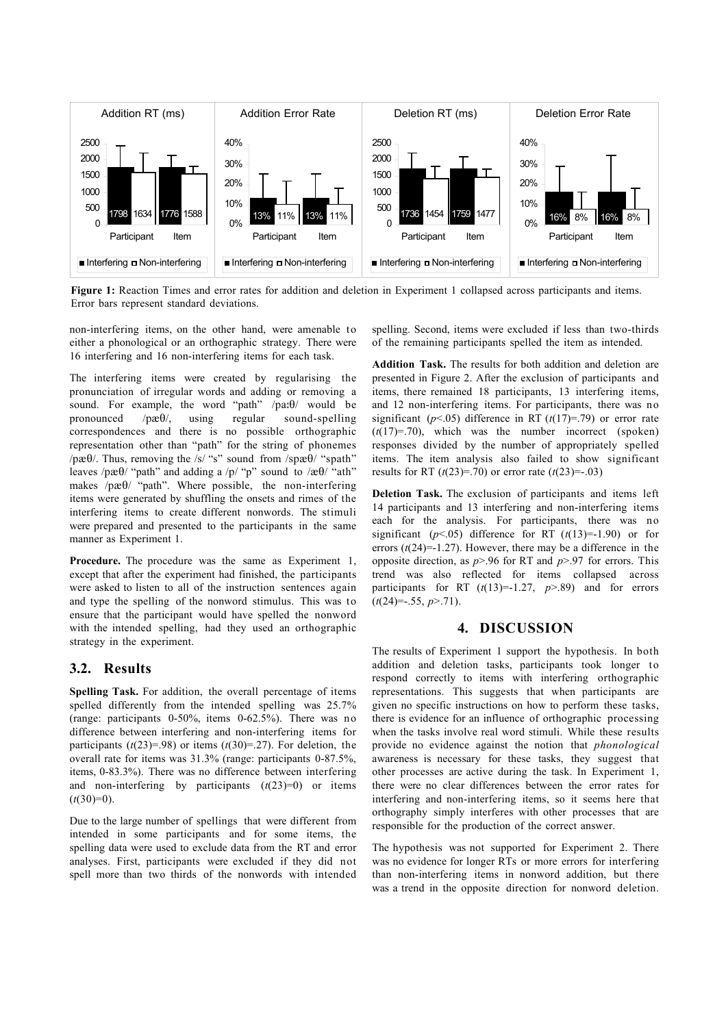

**Figure 1:** Reaction Times and error rates for addition and deletion in Experiment 1 collapsed across participants and items. Error bars represent standard deviations.

non-interfering items, on the other hand, were amenable to either a phonological or an orthographic strategy. There were 16 interfering and 16 non-interfering items for each task.

The interfering items were created by regularising the pronunciation of irregular words and adding or removing a sound. For example, the word "path"  $/$ pa $:$ 0 $/$  would be pronounced  $/p\mathcal{B}/(n)$  using regular sound-spelling correspondences and there is no possible orthographic representation other than "path" for the string of phonemes  $\sqrt{p\mathcal{R}}\theta$ . Thus, removing the /s/ "s" sound from /sp $\mathcal{R}\theta$ / "spath" leaves /p $\mathcal{R}\Theta$ / "path" and adding a /p/ "p" sound to / $\mathcal{R}\Theta$ / "ath" makes /p $\mathcal{R}\theta$ / "path". Where possible, the non-interfering items were generated by shuffling the onsets and rimes of the interfering items to create different nonwords. The stimuli were prepared and presented to the participants in the same manner as Experiment 1.

**Procedure.** The procedure was the same as Experiment 1, except that after the experiment had finished, the participants were asked to listen to all of the instruction sentences again and type the spelling of the nonword stimulus. This was to ensure that the participant would have spelled the nonword with the intended spelling, had they used an orthographic strategy in the experiment.

### **3.2. Results**

**Spelling Task.** For addition, the overall percentage of items spelled differently from the intended spelling was 25.7% (range: participants 0-50%, items 0-62.5%). There was no difference between interfering and non-interfering items for participants  $(t(23)=.98)$  or items  $(t(30)=.27)$ . For deletion, the overall rate for items was 31.3% (range: participants 0-87.5%, items, 0-83.3%). There was no difference between interfering and non-interfering by participants  $(t(23)=0)$  or items  $(t(30)=0)$ .

Due to the large number of spellings that were different from intended in some participants and for some items, the spelling data were used to exclude data from the RT and error analyses. First, participants were excluded if they did not spell more than two thirds of the nonwords with intended spelling. Second, items were excluded if less than two-thirds of the remaining participants spelled the item as intended.

**Addition Task.** The results for both addition and deletion are presented in Figure 2. After the exclusion of participants and items, there remained 18 participants, 13 interfering items, and 12 non-interfering items. For participants, there was no significant ( $p$ <.05) difference in RT ( $t$ (17)=.79) or error rate  $(t(17)=.70)$ , which was the number incorrect (spoken) responses divided by the number of appropriately spelled items. The item analysis also failed to show significant results for RT ( $t(23)=$ -70) or error rate ( $t(23)$ =-.03)

**Deletion Task.** The exclusion of participants and items left 14 participants and 13 interfering and non-interfering items each for the analysis. For participants, there was no significant ( $p < .05$ ) difference for RT ( $t(13)=-1.90$ ) or for errors  $(t(24)=1.27)$ . However, there may be a difference in the opposite direction, as *p*>.96 for RT and *p*>.97 for errors. This trend was also reflected for items collapsed across participants for RT  $(t(13)=-1.27, p>0.89)$  and for errors  $(t(24)=-.55, p>0.71)$ .

### **4. DISCUSSION**

The results of Experiment 1 support the hypothesis. In both addition and deletion tasks, participants took longer to respond correctly to items with interfering orthographic representations. This suggests that when participants are given no specific instructions on how to perform these tasks, there is evidence for an influence of orthographic processing when the tasks involve real word stimuli. While these results provide no evidence against the notion that *phonological* awareness is necessary for these tasks, they suggest that other processes are active during the task. In Experiment 1, there were no clear differences between the error rates for interfering and non-interfering items, so it seems here that orthography simply interferes with other processes that are responsible for the production of the correct answer.

The hypothesis was not supported for Experiment 2. There was no evidence for longer RTs or more errors for interfering than non-interfering items in nonword addition, but there was a trend in the opposite direction for nonword deletion.